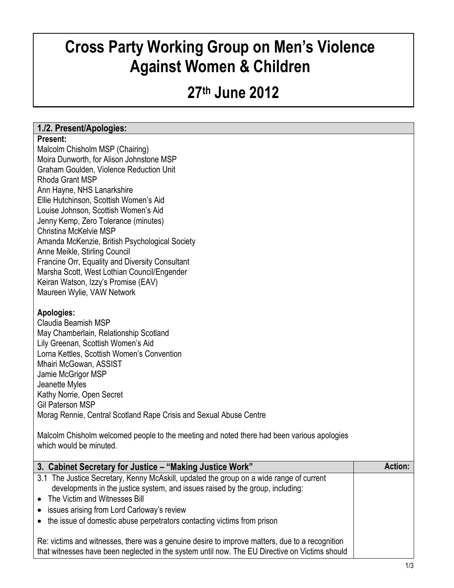# **Cross Party Working Group on Men's Violence Against Women & Children**

# **27th June 2012**

## **1./2. Present/Apologies:**

#### **Present:**

Malcolm Chisholm MSP (Chairing) Moira Dunworth, for Alison Johnstone MSP Graham Goulden, Violence Reduction Unit Rhoda Grant MSP Ann Hayne, NHS Lanarkshire Ellie Hutchinson, Scottish Women's Aid Louise Johnson, Scottish Women's Aid Jenny Kemp, Zero Tolerance (minutes) Christina McKelvie MSP Amanda McKenzie, British Psychological Society Anne Meikle, Stirling Council Francine Orr, Equality and Diversity Consultant Marsha Scott, West Lothian Council/Engender Keiran Watson, Izzy's Promise (EAV) Maureen Wylie, VAW Network

### **Apologies:**

Claudia Beamish MSP May Chamberlain, Relationship Scotland Lily Greenan, Scottish Women's Aid Lorna Kettles, Scottish Women's Convention Mhairi McGowan, ASSIST Jamie McGrigor MSP Jeanette Myles Kathy Norrie, Open Secret Gil Paterson MSP Morag Rennie, Central Scotland Rape Crisis and Sexual Abuse Centre

Malcolm Chisholm welcomed people to the meeting and noted there had been various apologies which would be minuted.

| 3. Cabinet Secretary for Justice – "Making Justice Work"                                                                                                                                         | <b>Action:</b> |
|--------------------------------------------------------------------------------------------------------------------------------------------------------------------------------------------------|----------------|
| 3.1 The Justice Secretary, Kenny McAskill, updated the group on a wide range of current<br>developments in the justice system, and issues raised by the group, including:                        |                |
| • The Victim and Witnesses Bill                                                                                                                                                                  |                |
| • issues arising from Lord Carloway's review                                                                                                                                                     |                |
| • the issue of domestic abuse perpetrators contacting victims from prison                                                                                                                        |                |
| Re: victims and witnesses, there was a genuine desire to improve matters, due to a recognition<br>that witnesses have been neglected in the system until now. The EU Directive on Victims should |                |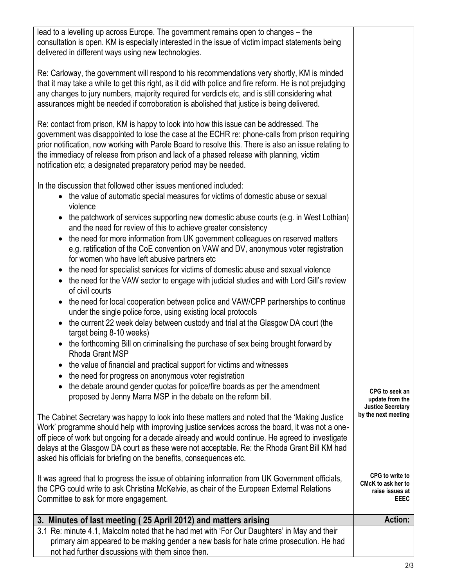| lead to a levelling up across Europe. The government remains open to changes - the<br>consultation is open. KM is especially interested in the issue of victim impact statements being<br>delivered in different ways using new technologies.                                                                                                                                                                                                                              |                                                                                |
|----------------------------------------------------------------------------------------------------------------------------------------------------------------------------------------------------------------------------------------------------------------------------------------------------------------------------------------------------------------------------------------------------------------------------------------------------------------------------|--------------------------------------------------------------------------------|
| Re: Carloway, the government will respond to his recommendations very shortly, KM is minded<br>that it may take a while to get this right, as it did with police and fire reform. He is not prejudging<br>any changes to jury numbers, majority required for verdicts etc, and is still considering what<br>assurances might be needed if corroboration is abolished that justice is being delivered.                                                                      |                                                                                |
| Re: contact from prison, KM is happy to look into how this issue can be addressed. The<br>government was disappointed to lose the case at the ECHR re: phone-calls from prison requiring<br>prior notification, now working with Parole Board to resolve this. There is also an issue relating to<br>the immediacy of release from prison and lack of a phased release with planning, victim<br>notification etc; a designated preparatory period may be needed.           |                                                                                |
| In the discussion that followed other issues mentioned included:<br>• the value of automatic special measures for victims of domestic abuse or sexual<br>violence                                                                                                                                                                                                                                                                                                          |                                                                                |
| • the patchwork of services supporting new domestic abuse courts (e.g. in West Lothian)<br>and the need for review of this to achieve greater consistency                                                                                                                                                                                                                                                                                                                  |                                                                                |
| the need for more information from UK government colleagues on reserved matters<br>$\bullet$<br>e.g. ratification of the CoE convention on VAW and DV, anonymous voter registration<br>for women who have left abusive partners etc                                                                                                                                                                                                                                        |                                                                                |
| the need for specialist services for victims of domestic abuse and sexual violence<br>$\bullet$<br>• the need for the VAW sector to engage with judicial studies and with Lord Gill's review<br>of civil courts                                                                                                                                                                                                                                                            |                                                                                |
| the need for local cooperation between police and VAW/CPP partnerships to continue<br>$\bullet$<br>under the single police force, using existing local protocols<br>the current 22 week delay between custody and trial at the Glasgow DA court (the<br>$\bullet$                                                                                                                                                                                                          |                                                                                |
| target being 8-10 weeks)<br>the forthcoming Bill on criminalising the purchase of sex being brought forward by                                                                                                                                                                                                                                                                                                                                                             |                                                                                |
| Rhoda Grant MSP<br>the value of financial and practical support for victims and witnesses<br>$\bullet$                                                                                                                                                                                                                                                                                                                                                                     |                                                                                |
| the need for progress on anonymous voter registration                                                                                                                                                                                                                                                                                                                                                                                                                      |                                                                                |
| the debate around gender quotas for police/fire boards as per the amendment<br>$\bullet$<br>proposed by Jenny Marra MSP in the debate on the reform bill.                                                                                                                                                                                                                                                                                                                  | CPG to seek an<br>update from the<br><b>Justice Secretary</b>                  |
| The Cabinet Secretary was happy to look into these matters and noted that the 'Making Justice<br>Work' programme should help with improving justice services across the board, it was not a one-<br>off piece of work but ongoing for a decade already and would continue. He agreed to investigate<br>delays at the Glasgow DA court as these were not acceptable. Re: the Rhoda Grant Bill KM had<br>asked his officials for briefing on the benefits, consequences etc. | by the next meeting                                                            |
| It was agreed that to progress the issue of obtaining information from UK Government officials,<br>the CPG could write to ask Christina McKelvie, as chair of the European External Relations<br>Committee to ask for more engagement.                                                                                                                                                                                                                                     | <b>CPG</b> to write to<br>CMcK to ask her to<br>raise issues at<br><b>EEEC</b> |
| 3. Minutes of last meeting (25 April 2012) and matters arising                                                                                                                                                                                                                                                                                                                                                                                                             | <b>Action:</b>                                                                 |
| 3.1 Re: minute 4.1, Malcolm noted that he had met with 'For Our Daughters' in May and their                                                                                                                                                                                                                                                                                                                                                                                |                                                                                |
| primary aim appeared to be making gender a new basis for hate crime prosecution. He had<br>not had further discussions with them since then.                                                                                                                                                                                                                                                                                                                               |                                                                                |